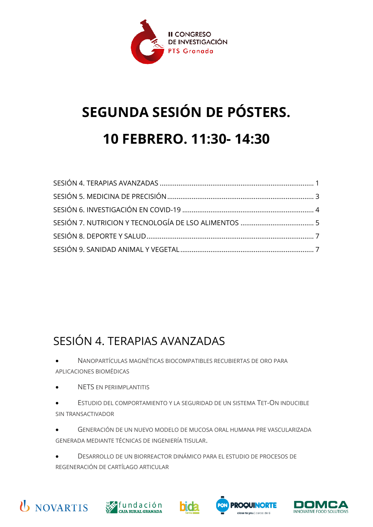

# **SEGUNDA SESIÓN DE PÓSTERS. 10 FEBRERO. 11:30- 14:30**

#### <span id="page-0-0"></span>SESIÓN 4. TERAPIAS AVANZADAS

- NANOPARTÍCULAS MAGNÉTICAS BIOCOMPATIBLES RECUBIERTAS DE ORO PARA APLICACIONES BIOMÉDICAS
- NETS EN PERIIMPLANTITIS
- ESTUDIO DEL COMPORTAMIENTO Y LA SEGURIDAD DE UN SISTEMA TET-ON INDUCIBLE SIN TRANSACTIVADOR
- GENERACIÓN DE UN NUEVO MODELO DE MUCOSA ORAL HUMANA PRE VASCULARIZADA GENERADA MEDIANTE TÉCNICAS DE INGENIERÍA TISULAR.
- DESARROLLO DE UN BIORREACTOR DINÁMICO PARA EL ESTUDIO DE PROCESOS DE REGENERACIÓN DE CARTÍLAGO ARTICULAR









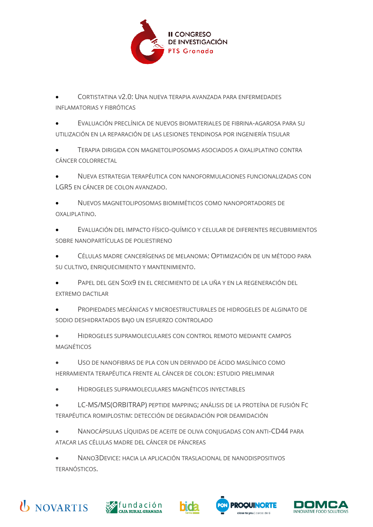

• CORTISTATINA V2.0: UNA NUEVA TERAPIA AVANZADA PARA ENFERMEDADES INFLAMATORIAS Y FIBRÓTICAS

• EVALUACIÓN PRECLÍNICA DE NUEVOS BIOMATERIALES DE FIBRINA-AGAROSA PARA SU UTILIZACIÓN EN LA REPARACIÓN DE LAS LESIONES TENDINOSA POR INGENIERÍA TISULAR

• TERAPIA DIRIGIDA CON MAGNETOLIPOSOMAS ASOCIADOS A OXALIPLATINO CONTRA CÁNCER COLORRECTAL

• NUEVA ESTRATEGIA TERAPÉUTICA CON NANOFORMULACIONES FUNCIONALIZADAS CON LGR5 EN CÁNCER DE COLON AVANZADO.

• NUEVOS MAGNETOLIPOSOMAS BIOMIMÉTICOS COMO NANOPORTADORES DE OXALIPLATINO.

• EVALUACIÓN DEL IMPACTO FÍSICO-QUÍMICO Y CELULAR DE DIFERENTES RECUBRIMIENTOS SOBRE NANOPARTÍCULAS DE POLIESTIRENO

• CÉLULAS MADRE CANCERÍGENAS DE MELANOMA: OPTIMIZACIÓN DE UN MÉTODO PARA SU CULTIVO, ENRIQUECIMIENTO Y MANTENIMIENTO.

• PAPEL DEL GEN SOX9 EN EL CRECIMIENTO DE LA UÑA Y EN LA REGENERACIÓN DEL EXTREMO DACTILAR

• PROPIEDADES MECÁNICAS Y MICROESTRUCTURALES DE HIDROGELES DE ALGINATO DE SODIO DESHIDRATADOS BAJO UN ESFUERZO CONTROLADO

• HIDROGELES SUPRAMOLECULARES CON CONTROL REMOTO MEDIANTE CAMPOS MAGNÉTICOS

• USO DE NANOFIBRAS DE PLA CON UN DERIVADO DE ÁCIDO MASLÍNICO COMO HERRAMIENTA TERAPÉUTICA FRENTE AL CÁNCER DE COLON: ESTUDIO PRELIMINAR

• HIDROGELES SUPRAMOLECULARES MAGNÉTICOS INYECTABLES

• LC-MS/MS(ORBITRAP) PEPTIDE MAPPING; ANÁLISIS DE LA PROTEÍNA DE FUSIÓN FC TERAPÉUTICA ROMIPLOSTIM: DETECCIÓN DE DEGRADACIÓN POR DEAMIDACIÓN

• NANOCÁPSULAS LÍQUIDAS DE ACEITE DE OLIVA CONJUGADAS CON ANTI-CD44 PARA ATACAR LAS CÉLULAS MADRE DEL CÁNCER DE PÁNCREAS

• NANO3DEVICE: HACIA LA APLICACIÓN TRASLACIONAL DE NANODISPOSITIVOS TERANÓSTICOS.







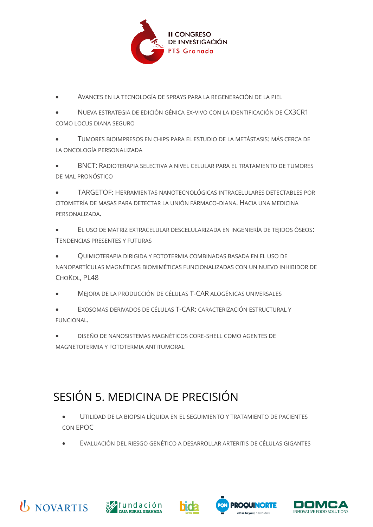

- AVANCES EN LA TECNOLOGÍA DE SPRAYS PARA LA REGENERACIÓN DE LA PIEL
- NUEVA ESTRATEGIA DE EDICIÓN GÉNICA EX-VIVO CON LA IDENTIFICACIÓN DE CX3CR1 COMO LOCUS DIANA SEGURO
- TUMORES BIOIMPRESOS EN CHIPS PARA EL ESTUDIO DE LA METÁSTASIS: MÁS CERCA DE LA ONCOLOGÍA PERSONALIZADA
- BNCT: RADIOTERAPIA SELECTIVA A NIVEL CELULAR PARA EL TRATAMIENTO DE TUMORES DE MAL PRONÓSTICO
- TARGETOF: HERRAMIENTAS NANOTECNOLÓGICAS INTRACELULARES DETECTABLES POR CITOMETRÍA DE MASAS PARA DETECTAR LA UNIÓN FÁRMACO-DIANA. HACIA UNA MEDICINA PERSONALIZADA.
- EL USO DE MATRIZ EXTRACELULAR DESCELULARIZADA EN INGENIERÍA DE TEJIDOS ÓSEOS: TENDENCIAS PRESENTES Y FUTURAS
- QUIMIOTERAPIA DIRIGIDA Y FOTOTERMIA COMBINADAS BASADA EN EL USO DE NANOPARTÍCULAS MAGNÉTICAS BIOMIMÉTICAS FUNCIONALIZADAS CON UN NUEVO INHIBIDOR DE CHOKOL, PL48
- MEJORA DE LA PRODUCCIÓN DE CÉLULAS T-CAR ALOGÉNICAS UNIVERSALES
- EXOSOMAS DERIVADOS DE CÉLULAS T-CAR: CARACTERIZACIÓN ESTRUCTURAL Y FUNCIONAL*.*
- DISEÑO DE NANOSISTEMAS MAGNÉTICOS CORE-SHELL COMO AGENTES DE MAGNETOTERMIA Y FOTOTERMIA ANTITUMORAL

## <span id="page-2-0"></span>SESIÓN 5. MEDICINA DE PRECISIÓN

- UTILIDAD DE LA BIOPSIA LÍQUIDA EN EL SEGUIMIENTO Y TRATAMIENTO DE PACIENTES CON EPOC
- EVALUACIÓN DEL RIESGO GENÉTICO A DESARROLLAR ARTERITIS DE CÉLULAS GIGANTES









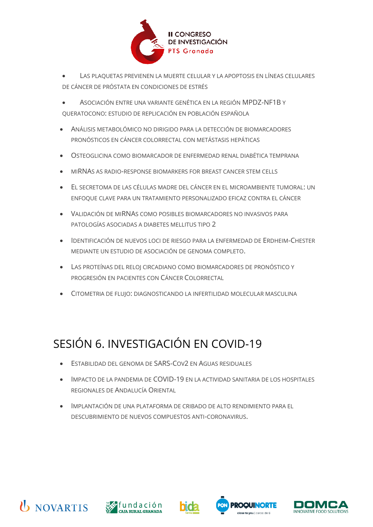

- LAS PLAQUETAS PREVIENEN LA MUERTE CELULAR Y LA APOPTOSIS EN LÍNEAS CELULARES DE CÁNCER DE PRÓSTATA EN CONDICIONES DE ESTRÉS
- ASOCIACIÓN ENTRE UNA VARIANTE GENÉTICA EN LA REGIÓN MPDZ-NF1B Y QUERATOCONO: ESTUDIO DE REPLICACIÓN EN POBLACIÓN ESPAÑOLA
- ANÁLISIS METABOLÓMICO NO DIRIGIDO PARA LA DETECCIÓN DE BIOMARCADORES PRONÓSTICOS EN CÁNCER COLORRECTAL CON METÁSTASIS HEPÁTICAS
- OSTEOGLICINA COMO BIOMARCADOR DE ENFERMEDAD RENAL DIABÉTICA TEMPRANA
- MIRNAS AS RADIO-RESPONSE BIOMARKERS FOR BREAST CANCER STEM CELLS
- EL SECRETOMA DE LAS CÉLULAS MADRE DEL CÁNCER EN EL MICROAMBIENTE TUMORAL: UN ENFOQUE CLAVE PARA UN TRATAMIENTO PERSONALIZADO EFICAZ CONTRA EL CÁNCER
- VALIDACIÓN DE MIRNAS COMO POSIBLES BIOMARCADORES NO INVASIVOS PARA PATOLOGÍAS ASOCIADAS A DIABETES MELLITUS TIPO 2
- IDENTIFICACIÓN DE NUEVOS LOCI DE RIESGO PARA LA ENFERMEDAD DE ERDHEIM-CHESTER MEDIANTE UN ESTUDIO DE ASOCIACIÓN DE GENOMA COMPLETO.
- LAS PROTEÍNAS DEL RELOJ CIRCADIANO COMO BIOMARCADORES DE PRONÓSTICO Y PROGRESIÓN EN PACIENTES CON CÁNCER COLORRECTAL
- CITOMETRIA DE FLUJO: DIAGNOSTICANDO LA INFERTILIDAD MOLECULAR MASCULINA

## <span id="page-3-0"></span>SESIÓN 6. INVESTIGACIÓN EN COVID-19

- ESTABILIDAD DEL GENOMA DE SARS-COV2 EN AGUAS RESIDUALES
- IMPACTO DE LA PANDEMIA DE COVID-19 EN LA ACTIVIDAD SANITARIA DE LOS HOSPITALES REGIONALES DE ANDALUCÍA ORIENTAL
- IMPLANTACIÓN DE UNA PLATAFORMA DE CRIBADO DE ALTO RENDIMIENTO PARA EL DESCUBRIMIENTO DE NUEVOS COMPUESTOS ANTI-CORONAVIRUS.







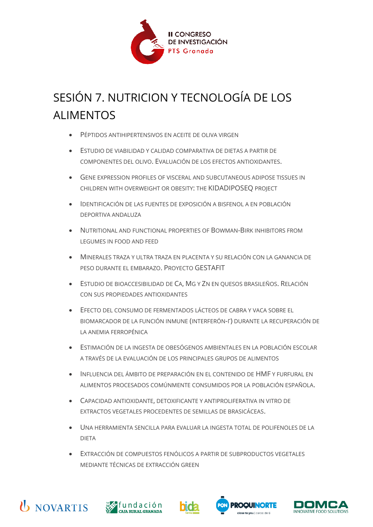

# <span id="page-4-0"></span>SESIÓN 7. NUTRICION Y TECNOLOGÍA DE LOS ALIMENTOS

- PÉPTIDOS ANTIHIPERTENSIVOS EN ACEITE DE OLIVA VIRGEN
- ESTUDIO DE VIABILIDAD Y CALIDAD COMPARATIVA DE DIETAS A PARTIR DE COMPONENTES DEL OLIVO. EVALUACIÓN DE LOS EFECTOS ANTIOXIDANTES.
- GENE EXPRESSION PROFILES OF VISCERAL AND SUBCUTANEOUS ADIPOSE TISSUES IN CHILDREN WITH OVERWEIGHT OR OBESITY: THE KIDADIPOSEQ PROJECT
- IDENTIFICACIÓN DE LAS FUENTES DE EXPOSICIÓN A BISFENOL A EN POBLACIÓN DEPORTIVA ANDALUZA
- NUTRITIONAL AND FUNCTIONAL PROPERTIES OF BOWMAN-BIRK INHIBITORS FROM LEGUMES IN FOOD AND FEED
- MINERALES TRAZA Y ULTRA TRAZA EN PLACENTA Y SU RELACIÓN CON LA GANANCIA DE PESO DURANTE EL EMBARAZO. PROYECTO GESTAFIT
- ESTUDIO DE BIOACCESIBILIDAD DE CA, MG Y ZN EN QUESOS BRASILEÑOS. RELACIÓN CON SUS PROPIEDADES ANTIOXIDANTES
- EFECTO DEL CONSUMO DE FERMENTADOS LÁCTEOS DE CABRA Y VACA SOBRE EL BIOMARCADOR DE LA FUNCIÓN INMUNE (INTERFERÓN-Γ) DURANTE LA RECUPERACIÓN DE LA ANEMIA FERROPÉNICA
- ESTIMACIÓN DE LA INGESTA DE OBESÓGENOS AMBIENTALES EN LA POBLACIÓN ESCOLAR A TRAVÉS DE LA EVALUACIÓN DE LOS PRINCIPALES GRUPOS DE ALIMENTOS
- INFLUENCIA DEL ÁMBITO DE PREPARACIÓN EN EL CONTENIDO DE HMF Y FURFURAL EN ALIMENTOS PROCESADOS COMÚNMENTE CONSUMIDOS POR LA POBLACIÓN ESPAÑOLA.
- CAPACIDAD ANTIOXIDANTE, DETOXIFICANTE Y ANTIPROLIFERATIVA IN VITRO DE EXTRACTOS VEGETALES PROCEDENTES DE SEMILLAS DE BRASICÁCEAS.
- UNA HERRAMIENTA SENCILLA PARA EVALUAR LA INGESTA TOTAL DE POLIFENOLES DE LA DIETA
- EXTRACCIÓN DE COMPUESTOS FENÓLICOS A PARTIR DE SUBPRODUCTOS VEGETALES MEDIANTE TÉCNICAS DE EXTRACCIÓN GREEN









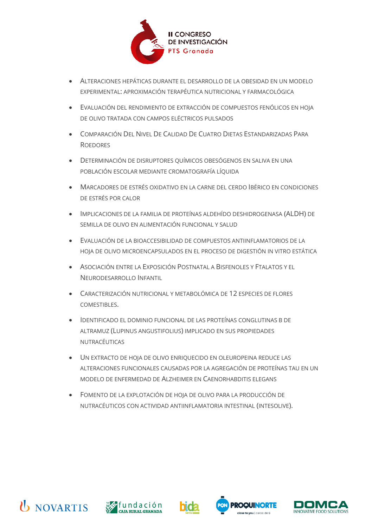

- ALTERACIONES HEPÁTICAS DURANTE EL DESARROLLO DE LA OBESIDAD EN UN MODELO EXPERIMENTAL: APROXIMACIÓN TERAPÉUTICA NUTRICIONAL Y FARMACOLÓGICA
- EVALUACIÓN DEL RENDIMIENTO DE EXTRACCIÓN DE COMPUESTOS FENÓLICOS EN HOJA DE OLIVO TRATADA CON CAMPOS ELÉCTRICOS PULSADOS
- COMPARACIÓN DEL NIVEL DE CALIDAD DE CUATRO DIETAS ESTANDARIZADAS PARA **ROEDORES**
- DETERMINACIÓN DE DISRUPTORES QUÍMICOS OBESÓGENOS EN SALIVA EN UNA POBLACIÓN ESCOLAR MEDIANTE CROMATOGRAFÍA LÍQUIDA
- MARCADORES DE ESTRÉS OXIDATIVO EN LA CARNE DEL CERDO IBÉRICO EN CONDICIONES DE ESTRÉS POR CALOR
- IMPLICACIONES DE LA FAMILIA DE PROTEÍNAS ALDEHÍDO DESHIDROGENASA (ALDH) DE SEMILLA DE OLIVO EN ALIMENTACIÓN FUNCIONAL Y SALUD
- EVALUACIÓN DE LA BIOACCESIBILIDAD DE COMPUESTOS ANTIINFLAMATORIOS DE LA HOJA DE OLIVO MICROENCAPSULADOS EN EL PROCESO DE DIGESTIÓN IN VITRO ESTÁTICA
- ASOCIACIÓN ENTRE LA EXPOSICIÓN POSTNATAL A BISFENOLES Y FTALATOS Y EL NEURODESARROLLO INFANTIL
- CARACTERIZACIÓN NUTRICIONAL Y METABOLÓMICA DE 12 ESPECIES DE FLORES COMESTIBLES.
- IDENTIFICADO EL DOMINIO FUNCIONAL DE LAS PROTEÍNAS CONGLUTINAS Β DE ALTRAMUZ (LUPINUS ANGUSTIFOLIUS) IMPLICADO EN SUS PROPIEDADES NUTRACÉUTICAS
- UN EXTRACTO DE HOJA DE OLIVO ENRIQUECIDO EN OLEUROPEINA REDUCE LAS ALTERACIONES FUNCIONALES CAUSADAS POR LA AGREGACIÓN DE PROTEÍNAS TAU EN UN MODELO DE ENFERMEDAD DE ALZHEIMER EN CAENORHABDITIS ELEGANS
- FOMENTO DE LA EXPLOTACIÓN DE HOJA DE OLIVO PARA LA PRODUCCIÓN DE NUTRACÉUTICOS CON ACTIVIDAD ANTIINFLAMATORIA INTESTINAL (INTESOLIVE).









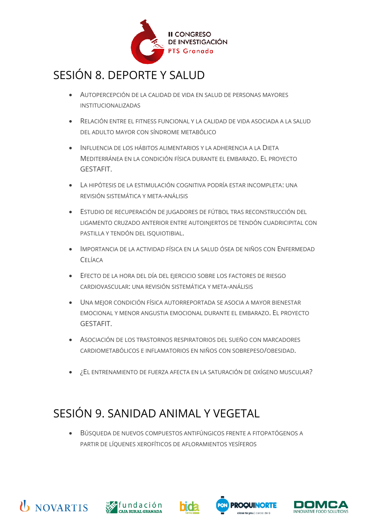

#### <span id="page-6-0"></span>SESIÓN 8. DEPORTE Y SALUD

- AUTOPERCEPCIÓN DE LA CALIDAD DE VIDA EN SALUD DE PERSONAS MAYORES INSTITUCIONALIZADAS
- RELACIÓN ENTRE EL FITNESS FUNCIONAL Y LA CALIDAD DE VIDA ASOCIADA A LA SALUD DEL ADULTO MAYOR CON SÍNDROME METABÓLICO
- INFLUENCIA DE LOS HÁBITOS ALIMENTARIOS Y LA ADHERENCIA A LA DIETA MEDITERRÁNEA EN LA CONDICIÓN FÍSICA DURANTE EL EMBARAZO. EL PROYECTO GESTAFIT.
- LA HIPÓTESIS DE LA ESTIMULACIÓN COGNITIVA PODRÍA ESTAR INCOMPLETA: UNA REVISIÓN SISTEMÁTICA Y META-ANÁLISIS
- ESTUDIO DE RECUPERACIÓN DE JUGADORES DE FÚTBOL TRAS RECONSTRUCCIÓN DEL LIGAMENTO CRUZADO ANTERIOR ENTRE AUTOINJERTOS DE TENDÓN CUADRICIPITAL CON PASTILLA Y TENDÓN DEL ISQUIOTIBIAL.
- IMPORTANCIA DE LA ACTIVIDAD FÍSICA EN LA SALUD ÓSEA DE NIÑOS CON ENFERMEDAD **CELÍACA**
- EFECTO DE LA HORA DEL DÍA DEL EJERCICIO SOBRE LOS FACTORES DE RIESGO CARDIOVASCULAR: UNA REVISIÓN SISTEMÁTICA Y META-ANÁLISIS
- UNA MEJOR CONDICIÓN FÍSICA AUTORREPORTADA SE ASOCIA A MAYOR BIENESTAR EMOCIONAL Y MENOR ANGUSTIA EMOCIONAL DURANTE EL EMBARAZO. EL PROYECTO GESTAFIT.
- ASOCIACIÓN DE LOS TRASTORNOS RESPIRATORIOS DEL SUEÑO CON MARCADORES CARDIOMETABÓLICOS E INFLAMATORIOS EN NIÑOS CON SOBREPESO/OBESIDAD.
- ¿EL ENTRENAMIENTO DE FUERZA AFECTA EN LA SATURACIÓN DE OXÍGENO MUSCULAR?

## <span id="page-6-1"></span>SESIÓN 9. SANIDAD ANIMAL Y VEGETAL

• BÚSQUEDA DE NUEVOS COMPUESTOS ANTIFÚNGICOS FRENTE A FITOPATÓGENOS A PARTIR DE LÍQUENES XEROFÍTICOS DE AFLORAMIENTOS YESÍFEROS